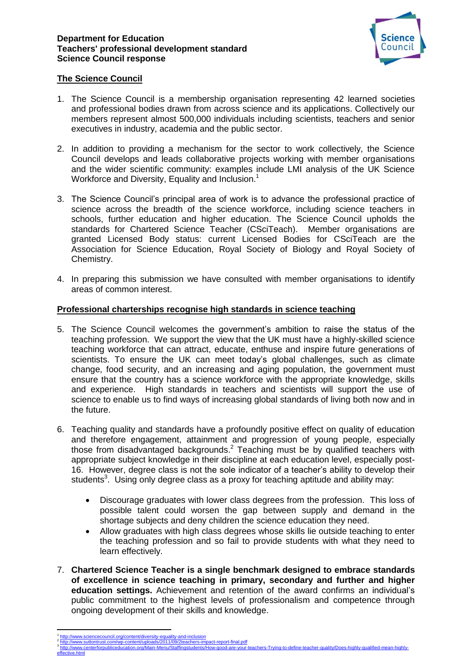#### **Department for Education Teachers' professional development standard Science Council response**



# **The Science Council**

- 1. The Science Council is a membership organisation representing 42 learned societies and professional bodies drawn from across science and its applications. Collectively our members represent almost 500,000 individuals including scientists, teachers and senior executives in industry, academia and the public sector.
- 2. In addition to providing a mechanism for the sector to work collectively, the Science Council develops and leads collaborative projects working with member organisations and the wider scientific community: examples include LMI analysis of the UK Science Workforce and Diversity, Equality and Inclusion.<sup>1</sup>
- 3. The Science Council's principal area of work is to advance the professional practice of science across the breadth of the science workforce, including science teachers in schools, further education and higher education. The Science Council upholds the standards for Chartered Science Teacher (CSciTeach). Member organisations are granted Licensed Body status: current Licensed Bodies for CSciTeach are the Association for Science Education, Royal Society of Biology and Royal Society of Chemistry.
- 4. In preparing this submission we have consulted with member organisations to identify areas of common interest.

## **Professional charterships recognise high standards in science teaching**

- 5. The Science Council welcomes the government's ambition to raise the status of the teaching profession. We support the view that the UK must have a highly-skilled science teaching workforce that can attract, educate, enthuse and inspire future generations of scientists. To ensure the UK can meet today's global challenges, such as climate change, food security, and an increasing and aging population, the government must ensure that the country has a science workforce with the appropriate knowledge, skills and experience. High standards in teachers and scientists will support the use of science to enable us to find ways of increasing global standards of living both now and in the future.
- 6. Teaching quality and standards have a profoundly positive effect on quality of education and therefore engagement, attainment and progression of young people, especially those from disadvantaged backgrounds. <sup>2</sup> Teaching must be by qualified teachers with appropriate subject knowledge in their discipline at each education level, especially post-16. However, degree class is not the sole indicator of a teacher's ability to develop their students<sup>3</sup>. Using only degree class as a proxy for teaching aptitude and ability may:
	- Discourage graduates with lower class degrees from the profession. This loss of possible talent could worsen the gap between supply and demand in the shortage subjects and deny children the science education they need.
	- Allow graduates with high class degrees whose skills lie outside teaching to enter the teaching profession and so fail to provide students with what they need to learn effectively.
- 7. **Chartered Science Teacher is a single benchmark designed to embrace standards of excellence in science teaching in primary, secondary and further and higher education settings.** Achievement and retention of the award confirms an individual's public commitment to the highest levels of professionalism and competence through ongoing development of their skills and knowledge.

**.** 

3

[effective.html](http://www.centerforpubliceducation.org/Main-Menu/Staffingstudents/How-good-are-your-teachers-Trying-to-define-teacher-quality/Does-highly-qualified-mean-highly-effective.html)

<sup>1</sup> <http://www.sciencecouncil.org/content/diversity-equality-and-inclusion><br>http://www.sutfontrust.com/wo-content/uploads/2011/09/2teachers-imr 2

**http://www.suttontruster.com/weart-final.pdf** [http://www.centerforpubliceducation.org/Main-Menu/Staffingstudents/How-good-are-your-teachers-Trying-to-define-teacher-quality/Does-highly-qualified-mean-highly-](http://www.centerforpubliceducation.org/Main-Menu/Staffingstudents/How-good-are-your-teachers-Trying-to-define-teacher-quality/Does-highly-qualified-mean-highly-effective.html)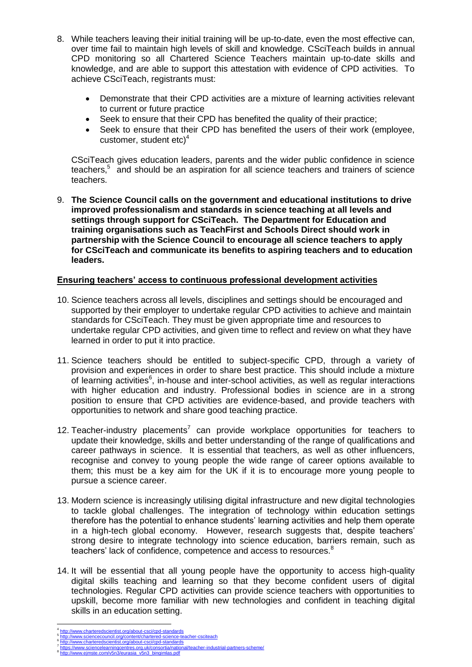- 8. While teachers leaving their initial training will be up-to-date, even the most effective can, over time fail to maintain high levels of skill and knowledge. CSciTeach builds in annual CPD monitoring so all Chartered Science Teachers maintain up-to-date skills and knowledge, and are able to support this attestation with evidence of CPD activities. To achieve CSciTeach, registrants must:
	- Demonstrate that their CPD activities are a mixture of learning activities relevant to current or future practice
	- Seek to ensure that their CPD has benefited the quality of their practice;
	- Seek to ensure that their CPD has benefited the users of their work (employee, customer, student  $etc$ <sup>4</sup>

CSciTeach gives education leaders, parents and the wider public confidence in science teachers, $5$  and should be an aspiration for all science teachers and trainers of science teachers.

9. **The Science Council calls on the government and educational institutions to drive improved professionalism and standards in science teaching at all levels and settings through support for CSciTeach. The Department for Education and training organisations such as TeachFirst and Schools Direct should work in partnership with the Science Council to encourage all science teachers to apply for CSciTeach and communicate its benefits to aspiring teachers and to education leaders.** 

# **Ensuring teachers' access to continuous professional development activities**

- 10. Science teachers across all levels, disciplines and settings should be encouraged and supported by their employer to undertake regular CPD activities to achieve and maintain standards for CSciTeach. They must be given appropriate time and resources to undertake regular CPD activities, and given time to reflect and review on what they have learned in order to put it into practice.
- 11. Science teachers should be entitled to subject-specific CPD, through a variety of provision and experiences in order to share best practice. This should include a mixture of learning activities $<sup>6</sup>$ , in-house and inter-school activities, as well as regular interactions</sup> with higher education and industry. Professional bodies in science are in a strong position to ensure that CPD activities are evidence-based, and provide teachers with opportunities to network and share good teaching practice.
- 12. Teacher-industry placements<sup>7</sup> can provide workplace opportunities for teachers to update their knowledge, skills and better understanding of the range of qualifications and career pathways in science. It is essential that teachers, as well as other influencers, recognise and convey to young people the wide range of career options available to them; this must be a key aim for the UK if it is to encourage more young people to pursue a science career.
- 13. Modern science is increasingly utilising digital infrastructure and new digital technologies to tackle global challenges. The integration of technology within education settings therefore has the potential to enhance students' learning activities and help them operate in a high-tech global economy. However, research suggests that, despite teachers' strong desire to integrate technology into science education, barriers remain, such as teachers' lack of confidence, competence and access to resources.<sup>8</sup>
- 14. It will be essential that all young people have the opportunity to access high-quality digital skills teaching and learning so that they become confident users of digital technologies. Regular CPD activities can provide science teachers with opportunities to upskill, become more familiar with new technologies and confident in teaching digital skills in an education setting.

w.eimste.com/v5n3/eurasia\_v5n3\_bingimlas.pdf

 $\overline{a}$ 

8

<sup>4</sup> .//www.charteredscientist.org/about-csci/cpd-standard 5 <http://www.sciencecouncil.org/content/chartered-science-teacher-csciteach>

<sup>6</sup> <http://www.charteredscientist.org/about-csci/cpd-standards> 7 <https://www.sciencelearningcentres.org.uk/consortia/national/teacher-industrial-partners-scheme/>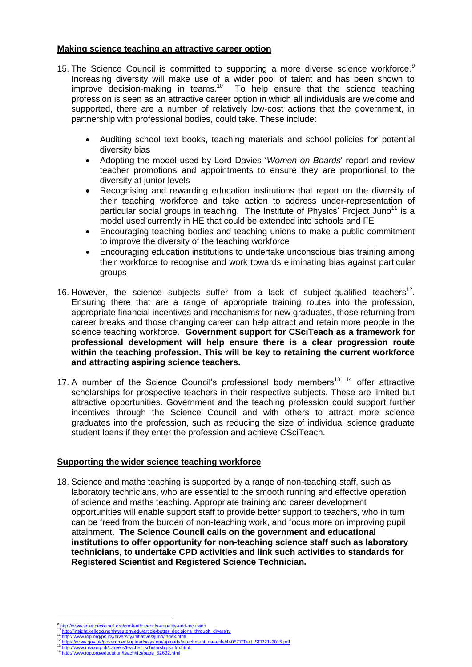### **Making science teaching an attractive career option**

- 15. The Science Council is committed to supporting a more diverse science workforce.<sup>9</sup> Increasing diversity will make use of a wider pool of talent and has been shown to improve decision-making in teams.<sup>10</sup> To help ensure that the science teaching profession is seen as an attractive career option in which all individuals are welcome and supported, there are a number of relatively low-cost actions that the government, in partnership with professional bodies, could take. These include:
	- Auditing school text books, teaching materials and school policies for potential diversity bias
	- Adopting the model used by Lord Davies '*Women on Boards*' report and review teacher promotions and appointments to ensure they are proportional to the diversity at junior levels
	- Recognising and rewarding education institutions that report on the diversity of their teaching workforce and take action to address under-representation of particular social groups in teaching. The Institute of Physics' Project Juno<sup>11</sup> is a model used currently in HE that could be extended into schools and FE
	- Encouraging teaching bodies and teaching unions to make a public commitment to improve the diversity of the teaching workforce
	- Encouraging education institutions to undertake unconscious bias training among their workforce to recognise and work towards eliminating bias against particular groups
- 16. However, the science subjects suffer from a lack of subject-qualified teachers<sup>12</sup>. Ensuring there that are a range of appropriate training routes into the profession, appropriate financial incentives and mechanisms for new graduates, those returning from career breaks and those changing career can help attract and retain more people in the science teaching workforce. **Government support for CSciTeach as a framework for professional development will help ensure there is a clear progression route within the teaching profession. This will be key to retaining the current workforce and attracting aspiring science teachers.**
- 17. A number of the Science Council's professional body members<sup>13, 14</sup> offer attractive scholarships for prospective teachers in their respective subjects. These are limited but attractive opportunities. Government and the teaching profession could support further incentives through the Science Council and with others to attract more science graduates into the profession, such as reducing the size of individual science graduate student loans if they enter the profession and achieve CSciTeach.

## **Supporting the wider science teaching workforce**

18. Science and maths teaching is supported by a range of non-teaching staff, such as laboratory technicians, who are essential to the smooth running and effective operation of science and maths teaching. Appropriate training and career development opportunities will enable support staff to provide better support to teachers, who in turn can be freed from the burden of non-teaching work, and focus more on improving pupil attainment. **The Science Council calls on the government and educational institutions to offer opportunity for non-teaching science staff such as laboratory technicians, to undertake CPD activities and link such activities to standards for Registered Scientist and Registered Science Technician.**

<sup>1</sup> 9 <http://www.sciencecouncil.org/content/diversity-equality-and-inclusion>

<sup>&</sup>lt;sup>10</sup> [http://insight.kellogg.northwestern.edu/article/better\\_decisions\\_through\\_diversity](http://insight.kellogg.northwestern.edu/article/better_decisions_through_diversity)<br><sup>11</sup> <http://www.iop.org/policy/diversity/initiatives/juno/index.html> ntps://www.gov.uk/government/uploads/system/uploads/attachment\_data/file/440577/Text\_SFR21-2015.pdf

<sup>13</sup> [http://www.ima.org.uk/careers/teacher\\_scholarships.cfm.html](http://www.ima.org.uk/careers/teacher_scholarships.cfm.html) w.iop.org/education/teach/itts/page\_52632.html